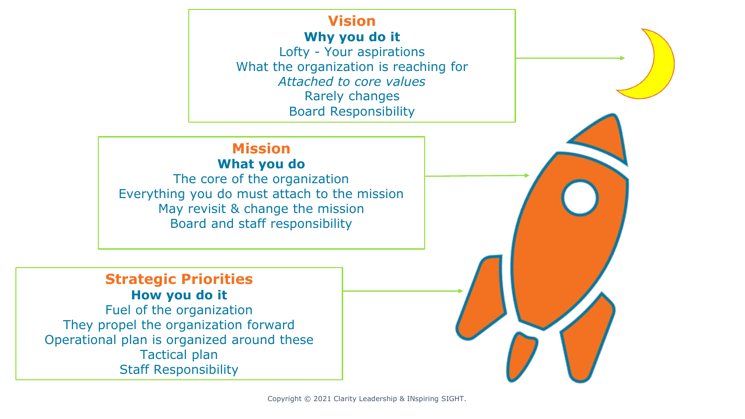### **Vision Why you do it**

Lofty - Your aspirations What the organization is reaching for *Attached to core values* Rarely changes Board Responsibility

### **Mission What you do**

The core of the organization Everything you do must attach to the mission May revisit & change the mission Board and staff responsibility

### **Strategic Priorities How you do it**

Fuel of the organization They propel the organization forward Operational plan is organized around these Tactical plan Staff Responsibility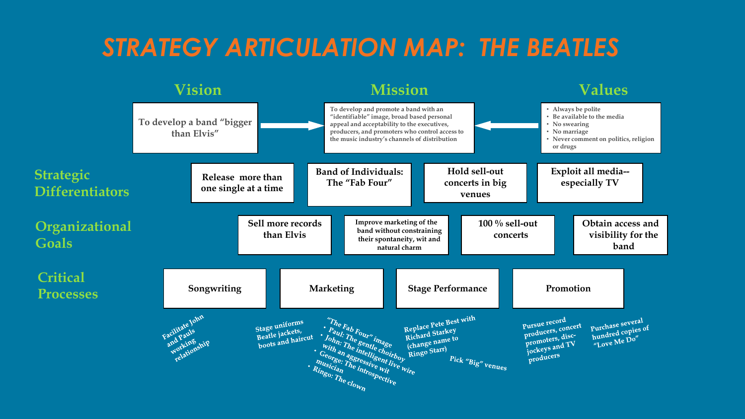## *STRATEGY ARTICULATION MAP: THE BEATLES*

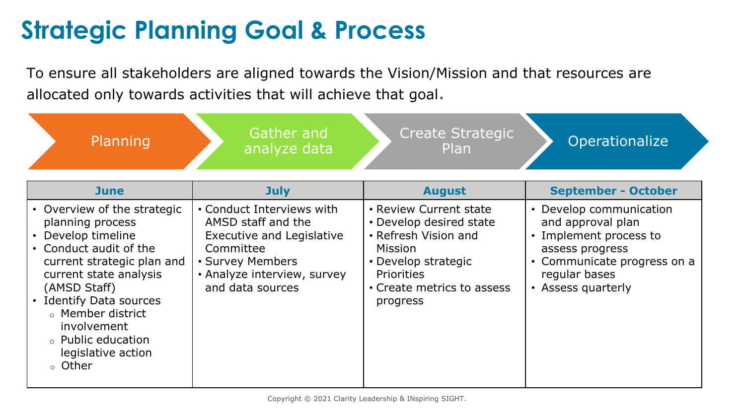# **Strategic Planning Goal & Process**

To ensure all stakeholders are aligned towards the Vision/Mission and that resources are allocated only towards activities that will achieve that goal.

| Planning                                                                                                                                                                                                                                                                                           | Gather and<br>analyze data                                                                                                                                              | <b>Create Strategic</b><br><b>Plan</b>                                                                                                                                            | Operationalize                                                                                                                                                  |
|----------------------------------------------------------------------------------------------------------------------------------------------------------------------------------------------------------------------------------------------------------------------------------------------------|-------------------------------------------------------------------------------------------------------------------------------------------------------------------------|-----------------------------------------------------------------------------------------------------------------------------------------------------------------------------------|-----------------------------------------------------------------------------------------------------------------------------------------------------------------|
| <b>June</b>                                                                                                                                                                                                                                                                                        | <b>July</b>                                                                                                                                                             | <b>August</b>                                                                                                                                                                     | <b>September - October</b>                                                                                                                                      |
| • Overview of the strategic<br>planning process<br>• Develop timeline<br>• Conduct audit of the<br>current strategic plan and<br>current state analysis<br>(AMSD Staff)<br><b>Identify Data sources</b><br>○ Member district<br>involvement<br>○ Public education<br>legislative action<br>○ Other | • Conduct Interviews with<br>AMSD staff and the<br><b>Executive and Legislative</b><br>Committee<br>• Survey Members<br>• Analyze interview, survey<br>and data sources | • Review Current state<br>• Develop desired state<br>• Refresh Vision and<br><b>Mission</b><br>• Develop strategic<br><b>Priorities</b><br>• Create metrics to assess<br>progress | • Develop communication<br>and approval plan<br>• Implement process to<br>assess progress<br>• Communicate progress on a<br>regular bases<br>• Assess quarterly |